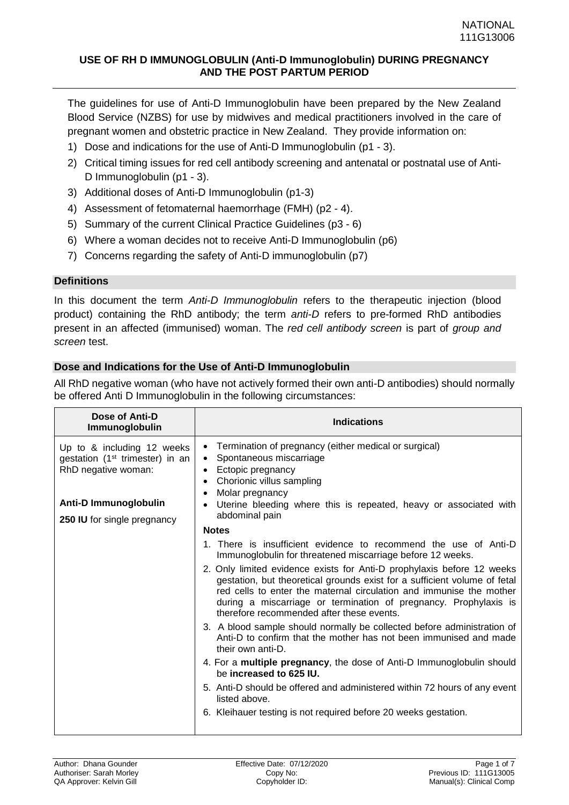The guidelines for use of Anti-D Immunoglobulin have been prepared by the New Zealand Blood Service (NZBS) for use by midwives and medical practitioners involved in the care of pregnant women and obstetric practice in New Zealand. They provide information on:

- 1) Dose and indications for the use of Anti-D Immunoglobulin ([p1](#page-0-0) 3).
- 2) Critical timing issues for red cell antibody screening and antenatal or postnatal use of Anti-D Immunoglobulin (p1 - 3).
- 3) Additional doses of Anti-D Immunoglobulin (p1-3)
- 4) Assessment of fetomaternal haemorrhage (FMH) (p2 4).
- 5) Summary of the current Clinical Practice Guidelines (p3 6)
- 6) Where a woman decides not to receive Anti-D Immunoglobulin (p6)
- 7) Concerns regarding the safety of Anti-D immunoglobulin (p7)

# **Definitions**

In this document the term *Anti-D Immunoglobulin* refers to the therapeutic injection (blood product) containing the RhD antibody; the term *anti-D* refers to pre-formed RhD antibodies present in an affected (immunised) woman. The *red cell antibody screen* is part of *group and screen* test.

# <span id="page-0-0"></span>**Dose and Indications for the Use of Anti-D Immunoglobulin**

All RhD negative woman (who have not actively formed their own anti-D antibodies) should normally be offered Anti D Immunoglobulin in the following circumstances:

| Dose of Anti-D<br>Immunoglobulin                                                                                                                                | <b>Indications</b>                                                                                                                                                                                                                                                                                                                          |
|-----------------------------------------------------------------------------------------------------------------------------------------------------------------|---------------------------------------------------------------------------------------------------------------------------------------------------------------------------------------------------------------------------------------------------------------------------------------------------------------------------------------------|
| Up to & including 12 weeks<br>gestation (1 <sup>st</sup> trimester) in an<br>RhD negative woman:<br><b>Anti-D Immunoglobulin</b><br>250 IU for single pregnancy | Termination of pregnancy (either medical or surgical)<br>$\bullet$<br>Spontaneous miscarriage<br>$\bullet$<br>Ectopic pregnancy<br>Chorionic villus sampling<br>Molar pregnancy<br>Uterine bleeding where this is repeated, heavy or associated with<br>$\bullet$<br>abdominal pain                                                         |
|                                                                                                                                                                 | <b>Notes</b>                                                                                                                                                                                                                                                                                                                                |
|                                                                                                                                                                 | 1. There is insufficient evidence to recommend the use of Anti-D<br>Immunoglobulin for threatened miscarriage before 12 weeks.                                                                                                                                                                                                              |
|                                                                                                                                                                 | 2. Only limited evidence exists for Anti-D prophylaxis before 12 weeks<br>gestation, but theoretical grounds exist for a sufficient volume of fetal<br>red cells to enter the maternal circulation and immunise the mother<br>during a miscarriage or termination of pregnancy. Prophylaxis is<br>therefore recommended after these events. |
|                                                                                                                                                                 | 3. A blood sample should normally be collected before administration of<br>Anti-D to confirm that the mother has not been immunised and made<br>their own anti-D.                                                                                                                                                                           |
|                                                                                                                                                                 | 4. For a multiple pregnancy, the dose of Anti-D Immunoglobulin should<br>be increased to 625 IU.                                                                                                                                                                                                                                            |
|                                                                                                                                                                 | 5. Anti-D should be offered and administered within 72 hours of any event<br>listed above.                                                                                                                                                                                                                                                  |
|                                                                                                                                                                 | 6. Kleihauer testing is not required before 20 weeks gestation.                                                                                                                                                                                                                                                                             |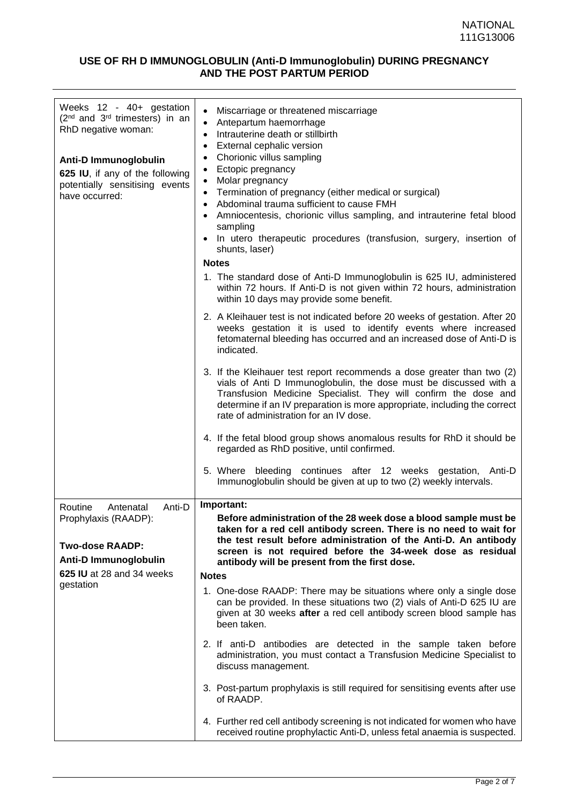| Weeks 12 - 40+ gestation<br>(2 <sup>nd</sup> and 3 <sup>rd</sup> trimesters) in an<br>RhD negative woman:<br><b>Anti-D Immunoglobulin</b><br>625 IU, if any of the following<br>potentially sensitising events<br>have occurred: | Miscarriage or threatened miscarriage<br>$\bullet$<br>Antepartum haemorrhage<br>$\bullet$<br>Intrauterine death or stillbirth<br>$\bullet$<br>External cephalic version<br>$\bullet$<br>Chorionic villus sampling<br>$\bullet$<br>Ectopic pregnancy<br>$\bullet$<br>Molar pregnancy<br>$\bullet$<br>Termination of pregnancy (either medical or surgical)<br>$\bullet$<br>Abdominal trauma sufficient to cause FMH<br>$\bullet$<br>• Amniocentesis, chorionic villus sampling, and intrauterine fetal blood<br>sampling<br>• In utero therapeutic procedures (transfusion, surgery, insertion of<br>shunts, laser)<br><b>Notes</b><br>1. The standard dose of Anti-D Immunoglobulin is 625 IU, administered<br>within 72 hours. If Anti-D is not given within 72 hours, administration<br>within 10 days may provide some benefit.<br>2. A Kleihauer test is not indicated before 20 weeks of gestation. After 20<br>weeks gestation it is used to identify events where increased<br>fetomaternal bleeding has occurred and an increased dose of Anti-D is<br>indicated.<br>3. If the Kleihauer test report recommends a dose greater than two (2)<br>vials of Anti D Immunoglobulin, the dose must be discussed with a<br>Transfusion Medicine Specialist. They will confirm the dose and<br>determine if an IV preparation is more appropriate, including the correct<br>rate of administration for an IV dose.<br>4. If the fetal blood group shows anomalous results for RhD it should be<br>regarded as RhD positive, until confirmed. |
|----------------------------------------------------------------------------------------------------------------------------------------------------------------------------------------------------------------------------------|----------------------------------------------------------------------------------------------------------------------------------------------------------------------------------------------------------------------------------------------------------------------------------------------------------------------------------------------------------------------------------------------------------------------------------------------------------------------------------------------------------------------------------------------------------------------------------------------------------------------------------------------------------------------------------------------------------------------------------------------------------------------------------------------------------------------------------------------------------------------------------------------------------------------------------------------------------------------------------------------------------------------------------------------------------------------------------------------------------------------------------------------------------------------------------------------------------------------------------------------------------------------------------------------------------------------------------------------------------------------------------------------------------------------------------------------------------------------------------------------------------------------------------------------|
|                                                                                                                                                                                                                                  | 5. Where bleeding continues after 12 weeks gestation, Anti-D<br>Immunoglobulin should be given at up to two (2) weekly intervals.                                                                                                                                                                                                                                                                                                                                                                                                                                                                                                                                                                                                                                                                                                                                                                                                                                                                                                                                                                                                                                                                                                                                                                                                                                                                                                                                                                                                            |
| Anti-D<br>Routine<br>Antenatal<br>Prophylaxis (RAADP):<br><b>Two-dose RAADP:</b><br>Anti-D Immunoglobulin<br>625 IU at 28 and 34 weeks<br>gestation                                                                              | Important:<br>Before administration of the 28 week dose a blood sample must be<br>taken for a red cell antibody screen. There is no need to wait for<br>the test result before administration of the Anti-D. An antibody<br>screen is not required before the 34-week dose as residual<br>antibody will be present from the first dose.<br><b>Notes</b><br>1. One-dose RAADP: There may be situations where only a single dose<br>can be provided. In these situations two (2) vials of Anti-D 625 IU are<br>given at 30 weeks after a red cell antibody screen blood sample has<br>been taken.<br>2. If anti-D antibodies are detected in the sample taken before<br>administration, you must contact a Transfusion Medicine Specialist to<br>discuss management.                                                                                                                                                                                                                                                                                                                                                                                                                                                                                                                                                                                                                                                                                                                                                                           |
|                                                                                                                                                                                                                                  | 3. Post-partum prophylaxis is still required for sensitising events after use<br>of RAADP.<br>4. Further red cell antibody screening is not indicated for women who have                                                                                                                                                                                                                                                                                                                                                                                                                                                                                                                                                                                                                                                                                                                                                                                                                                                                                                                                                                                                                                                                                                                                                                                                                                                                                                                                                                     |
|                                                                                                                                                                                                                                  | received routine prophylactic Anti-D, unless fetal anaemia is suspected.                                                                                                                                                                                                                                                                                                                                                                                                                                                                                                                                                                                                                                                                                                                                                                                                                                                                                                                                                                                                                                                                                                                                                                                                                                                                                                                                                                                                                                                                     |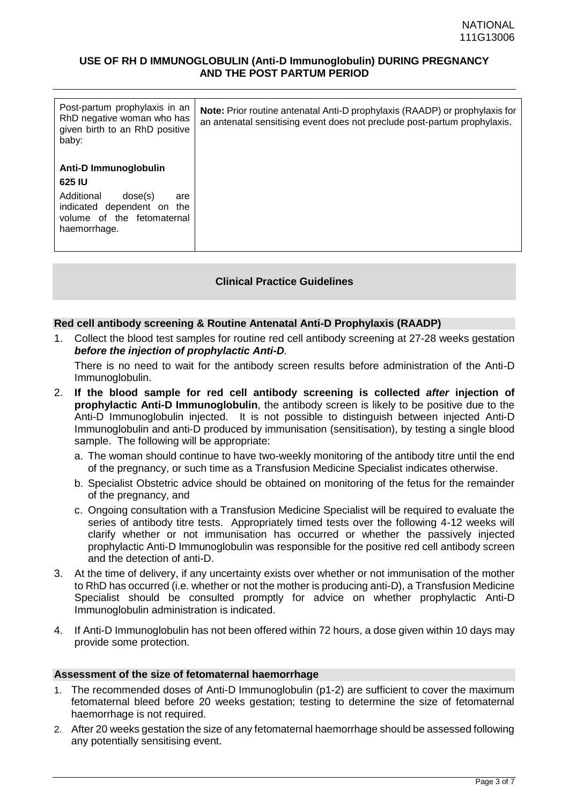| Post-partum prophylaxis in an<br>RhD negative woman who has<br>given birth to an RhD positive<br>baby:                                      | <b>Note:</b> Prior routine antenatal Anti-D prophylaxis (RAADP) or prophylaxis for<br>an antenatal sensitising event does not preclude post-partum prophylaxis. |
|---------------------------------------------------------------------------------------------------------------------------------------------|-----------------------------------------------------------------------------------------------------------------------------------------------------------------|
| Anti-D Immunoglobulin<br>625 IU<br>Additional<br>dose(s)<br>are<br>indicated dependent on the<br>volume of the fetomaternal<br>haemorrhage. |                                                                                                                                                                 |

## **Clinical Practice Guidelines**

## **Red cell antibody screening & Routine Antenatal Anti-D Prophylaxis (RAADP)**

1. Collect the blood test samples for routine red cell antibody screening at 27-28 weeks gestation *before the injection of prophylactic Anti-D.*

There is no need to wait for the antibody screen results before administration of the Anti-D Immunoglobulin.

- 2. **If the blood sample for red cell antibody screening is collected** *after* **injection of prophylactic Anti-D Immunoglobulin**, the antibody screen is likely to be positive due to the Anti-D Immunoglobulin injected. It is not possible to distinguish between injected Anti-D Immunoglobulin and anti-D produced by immunisation (sensitisation), by testing a single blood sample. The following will be appropriate:
	- a. The woman should continue to have two-weekly monitoring of the antibody titre until the end of the pregnancy, or such time as a Transfusion Medicine Specialist indicates otherwise.
	- b. Specialist Obstetric advice should be obtained on monitoring of the fetus for the remainder of the pregnancy, and
	- c. Ongoing consultation with a Transfusion Medicine Specialist will be required to evaluate the series of antibody titre tests. Appropriately timed tests over the following 4-12 weeks will clarify whether or not immunisation has occurred or whether the passively injected prophylactic Anti-D Immunoglobulin was responsible for the positive red cell antibody screen and the detection of anti-D.
- 3. At the time of delivery, if any uncertainty exists over whether or not immunisation of the mother to RhD has occurred (i.e. whether or not the mother is producing anti-D), a Transfusion Medicine Specialist should be consulted promptly for advice on whether prophylactic Anti-D Immunoglobulin administration is indicated.
- 4. If Anti-D Immunoglobulin has not been offered within 72 hours, a dose given within 10 days may provide some protection.

# **Assessment of the size of fetomaternal haemorrhage**

- 1. The recommended doses of Anti-D Immunoglobulin ([p1-](#page-0-0)2) are sufficient to cover the maximum fetomaternal bleed before 20 weeks gestation; testing to determine the size of fetomaternal haemorrhage is not required.
- 2. After 20 weeks gestation the size of any fetomaternal haemorrhage should be assessed following any potentially sensitising event.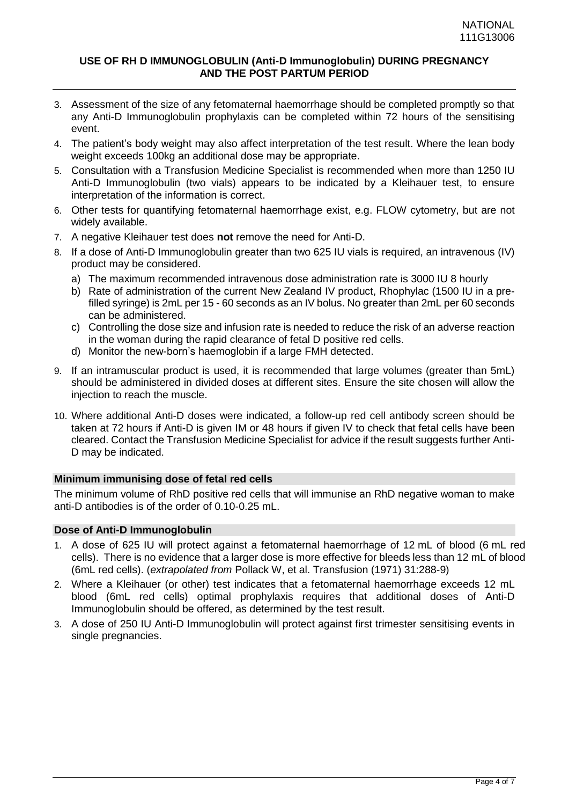- 3. Assessment of the size of any fetomaternal haemorrhage should be completed promptly so that any Anti-D Immunoglobulin prophylaxis can be completed within 72 hours of the sensitising event.
- 4. The patient's body weight may also affect interpretation of the test result. Where the lean body weight exceeds 100kg an additional dose may be appropriate.
- 5. Consultation with a Transfusion Medicine Specialist is recommended when more than 1250 IU Anti-D Immunoglobulin (two vials) appears to be indicated by a Kleihauer test, to ensure interpretation of the information is correct.
- 6. Other tests for quantifying fetomaternal haemorrhage exist, e.g. FLOW cytometry, but are not widely available.
- 7. A negative Kleihauer test does **not** remove the need for Anti-D.
- 8. If a dose of Anti-D Immunoglobulin greater than two 625 IU vials is required, an intravenous (IV) product may be considered.
	- a) The maximum recommended intravenous dose administration rate is 3000 IU 8 hourly
	- b) Rate of administration of the current New Zealand IV product, Rhophylac (1500 IU in a prefilled syringe) is 2mL per 15 - 60 seconds as an IV bolus. No greater than 2mL per 60 seconds can be administered.
	- c) Controlling the dose size and infusion rate is needed to reduce the risk of an adverse reaction in the woman during the rapid clearance of fetal D positive red cells.
	- d) Monitor the new-born's haemoglobin if a large FMH detected.
- 9. If an intramuscular product is used, it is recommended that large volumes (greater than 5mL) should be administered in divided doses at different sites. Ensure the site chosen will allow the injection to reach the muscle.
- 10. Where additional Anti-D doses were indicated, a follow-up red cell antibody screen should be taken at 72 hours if Anti-D is given IM or 48 hours if given IV to check that fetal cells have been cleared. Contact the Transfusion Medicine Specialist for advice if the result suggests further Anti-D may be indicated.

## **Minimum immunising dose of fetal red cells**

The minimum volume of RhD positive red cells that will immunise an RhD negative woman to make anti-D antibodies is of the order of 0.10-0.25 mL.

# **Dose of Anti-D Immunoglobulin**

- 1. A dose of 625 IU will protect against a fetomaternal haemorrhage of 12 mL of blood (6 mL red cells). There is no evidence that a larger dose is more effective for bleeds less than 12 mL of blood (6mL red cells). (*extrapolated from* Pollack W, et al. Transfusion (1971) 31:288-9)
- 2. Where a Kleihauer (or other) test indicates that a fetomaternal haemorrhage exceeds 12 mL blood (6mL red cells) optimal prophylaxis requires that additional doses of Anti-D Immunoglobulin should be offered, as determined by the test result.
- 3. A dose of 250 IU Anti-D Immunoglobulin will protect against first trimester sensitising events in single pregnancies.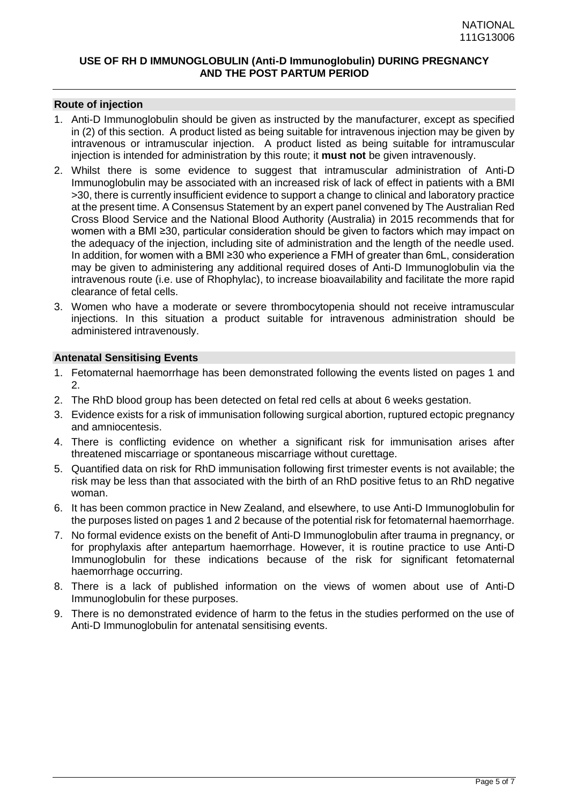#### **Route of injection**

- 1. Anti-D Immunoglobulin should be given as instructed by the manufacturer, except as specified in (2) of this section. A product listed as being suitable for intravenous injection may be given by intravenous or intramuscular injection. A product listed as being suitable for intramuscular injection is intended for administration by this route; it **must not** be given intravenously.
- 2. Whilst there is some evidence to suggest that intramuscular administration of Anti-D Immunoglobulin may be associated with an increased risk of lack of effect in patients with a BMI >30, there is currently insufficient evidence to support a change to clinical and laboratory practice at the present time. A Consensus Statement by an expert panel convened by The Australian Red Cross Blood Service and the National Blood Authority (Australia) in 2015 recommends that for women with a BMI ≥30, particular consideration should be given to factors which may impact on the adequacy of the injection, including site of administration and the length of the needle used. In addition, for women with a BMI ≥30 who experience a FMH of greater than 6mL, consideration may be given to administering any additional required doses of Anti-D Immunoglobulin via the intravenous route (i.e. use of Rhophylac), to increase bioavailability and facilitate the more rapid clearance of fetal cells.
- 3. Women who have a moderate or severe thrombocytopenia should not receive intramuscular injections. In this situation a product suitable for intravenous administration should be administered intravenously.

#### **Antenatal Sensitising Events**

- 1. Fetomaternal haemorrhage has been demonstrated following the events listed on pages 1 and  $\mathcal{P}$
- 2. The RhD blood group has been detected on fetal red cells at about 6 weeks gestation.
- 3. Evidence exists for a risk of immunisation following surgical abortion, ruptured ectopic pregnancy and amniocentesis.
- 4. There is conflicting evidence on whether a significant risk for immunisation arises after threatened miscarriage or spontaneous miscarriage without curettage.
- 5. Quantified data on risk for RhD immunisation following first trimester events is not available; the risk may be less than that associated with the birth of an RhD positive fetus to an RhD negative woman.
- 6. It has been common practice in New Zealand, and elsewhere, to use Anti-D Immunoglobulin for the purposes listed on pages 1 and 2 because of the potential risk for fetomaternal haemorrhage.
- 7. No formal evidence exists on the benefit of Anti-D Immunoglobulin after trauma in pregnancy, or for prophylaxis after antepartum haemorrhage. However, it is routine practice to use Anti-D Immunoglobulin for these indications because of the risk for significant fetomaternal haemorrhage occurring.
- 8. There is a lack of published information on the views of women about use of Anti-D Immunoglobulin for these purposes.
- 9. There is no demonstrated evidence of harm to the fetus in the studies performed on the use of Anti-D Immunoglobulin for antenatal sensitising events.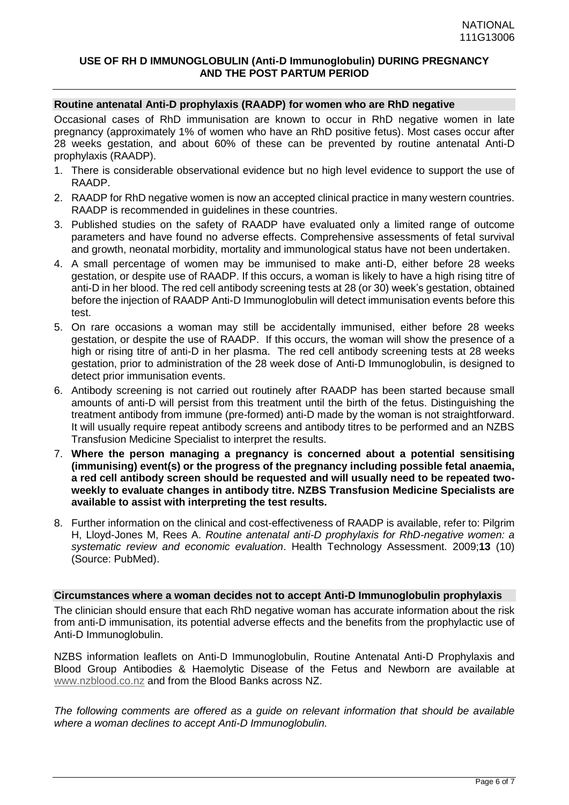## **Routine antenatal Anti-D prophylaxis (RAADP) for women who are RhD negative**

Occasional cases of RhD immunisation are known to occur in RhD negative women in late pregnancy (approximately 1% of women who have an RhD positive fetus). Most cases occur after 28 weeks gestation, and about 60% of these can be prevented by routine antenatal Anti-D prophylaxis (RAADP).

- 1. There is considerable observational evidence but no high level evidence to support the use of RAADP.
- 2. RAADP for RhD negative women is now an accepted clinical practice in many western countries. RAADP is recommended in guidelines in these countries.
- 3. Published studies on the safety of RAADP have evaluated only a limited range of outcome parameters and have found no adverse effects. Comprehensive assessments of fetal survival and growth, neonatal morbidity, mortality and immunological status have not been undertaken.
- 4. A small percentage of women may be immunised to make anti-D, either before 28 weeks gestation, or despite use of RAADP. If this occurs, a woman is likely to have a high rising titre of anti-D in her blood. The red cell antibody screening tests at 28 (or 30) week's gestation, obtained before the injection of RAADP Anti-D Immunoglobulin will detect immunisation events before this test.
- 5. On rare occasions a woman may still be accidentally immunised, either before 28 weeks gestation, or despite the use of RAADP. If this occurs, the woman will show the presence of a high or rising titre of anti-D in her plasma. The red cell antibody screening tests at 28 weeks gestation, prior to administration of the 28 week dose of Anti-D Immunoglobulin, is designed to detect prior immunisation events.
- 6. Antibody screening is not carried out routinely after RAADP has been started because small amounts of anti-D will persist from this treatment until the birth of the fetus. Distinguishing the treatment antibody from immune (pre-formed) anti-D made by the woman is not straightforward. It will usually require repeat antibody screens and antibody titres to be performed and an NZBS Transfusion Medicine Specialist to interpret the results.
- 7. **Where the person managing a pregnancy is concerned about a potential sensitising (immunising) event(s) or the progress of the pregnancy including possible fetal anaemia, a red cell antibody screen should be requested and will usually need to be repeated twoweekly to evaluate changes in antibody titre. NZBS Transfusion Medicine Specialists are available to assist with interpreting the test results.**
- 8. Further information on the clinical and cost-effectiveness of RAADP is available, refer to: Pilgrim H, Lloyd-Jones M, Rees A. *Routine antenatal anti-D prophylaxis for RhD-negative women: a systematic review and economic evaluation*. Health Technology Assessment. 2009;**13** (10) (Source: PubMed).

#### **Circumstances where a woman decides not to accept Anti-D Immunoglobulin prophylaxis**

The clinician should ensure that each RhD negative woman has accurate information about the risk from anti-D immunisation, its potential adverse effects and the benefits from the prophylactic use of Anti-D Immunoglobulin.

NZBS information leaflets on Anti-D Immunoglobulin, Routine Antenatal Anti-D Prophylaxis and Blood Group Antibodies & Haemolytic Disease of the Fetus and Newborn are available at [www.nzblood.co.nz](http://www.nzblood.co.nz/) and from the Blood Banks across NZ.

*The following comments are offered as a guide on relevant information that should be available where a woman declines to accept Anti-D Immunoglobulin.*